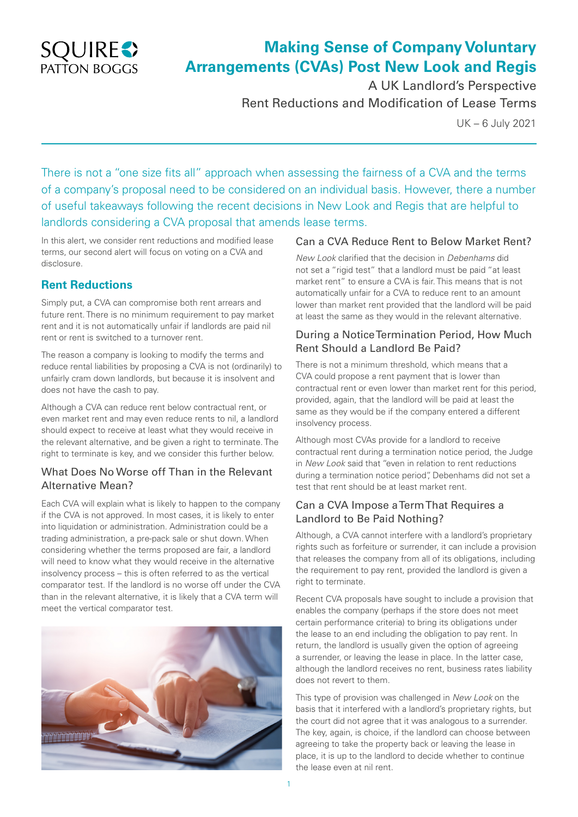

# **Making Sense of Company Voluntary Arrangements (CVAs) Post New Look and Regis**

A UK Landlord's Perspective Rent Reductions and Modification of Lease Terms

UK – 6 July 2021

There is not a "one size fits all" approach when assessing the fairness of a CVA and the terms of a company's proposal need to be considered on an individual basis. However, there a number of useful takeaways following the recent decisions in New Look and Regis that are helpful to landlords considering a CVA proposal that amends lease terms.

In this alert, we consider rent reductions and modified lease terms, our second alert will focus on voting on a CVA and disclosure.

# **Rent Reductions**

Simply put, a CVA can compromise both rent arrears and future rent. There is no minimum requirement to pay market rent and it is not automatically unfair if landlords are paid nil rent or rent is switched to a turnover rent.

The reason a company is looking to modify the terms and reduce rental liabilities by proposing a CVA is not (ordinarily) to unfairly cram down landlords, but because it is insolvent and does not have the cash to pay.

Although a CVA can reduce rent below contractual rent, or even market rent and may even reduce rents to nil, a landlord should expect to receive at least what they would receive in the relevant alternative, and be given a right to terminate. The right to terminate is key, and we consider this further below.

#### What Does No Worse off Than in the Relevant Alternative Mean?

Each CVA will explain what is likely to happen to the company if the CVA is not approved. In most cases, it is likely to enter into liquidation or administration. Administration could be a trading administration, a pre-pack sale or shut down. When considering whether the terms proposed are fair, a landlord will need to know what they would receive in the alternative insolvency process – this is often referred to as the vertical comparator test. If the landlord is no worse off under the CVA than in the relevant alternative, it is likely that a CVA term will meet the vertical comparator test.



#### Can a CVA Reduce Rent to Below Market Rent?

*New Look* clarified that the decision in *Debenhams* did not set a "rigid test" that a landlord must be paid "at least market rent" to ensure a CVA is fair. This means that is not automatically unfair for a CVA to reduce rent to an amount lower than market rent provided that the landlord will be paid at least the same as they would in the relevant alternative.

## During a Notice Termination Period, How Much Rent Should a Landlord Be Paid?

There is not a minimum threshold, which means that a CVA could propose a rent payment that is lower than contractual rent or even lower than market rent for this period, provided, again, that the landlord will be paid at least the same as they would be if the company entered a different insolvency process.

Although most CVAs provide for a landlord to receive contractual rent during a termination notice period, the Judge in *New Look* said that "even in relation to rent reductions during a termination notice period", Debenhams did not set a test that rent should be at least market rent.

# Can a CVA Impose a Term That Requires a Landlord to Be Paid Nothing?

Although, a CVA cannot interfere with a landlord's proprietary rights such as forfeiture or surrender, it can include a provision that releases the company from all of its obligations, including the requirement to pay rent, provided the landlord is given a right to terminate.

Recent CVA proposals have sought to include a provision that enables the company (perhaps if the store does not meet certain performance criteria) to bring its obligations under the lease to an end including the obligation to pay rent. In return, the landlord is usually given the option of agreeing a surrender, or leaving the lease in place. In the latter case, although the landlord receives no rent, business rates liability does not revert to them.

This type of provision was challenged in *New Look* on the basis that it interfered with a landlord's proprietary rights, but the court did not agree that it was analogous to a surrender. The key, again, is choice, if the landlord can choose between agreeing to take the property back or leaving the lease in place, it is up to the landlord to decide whether to continue the lease even at nil rent.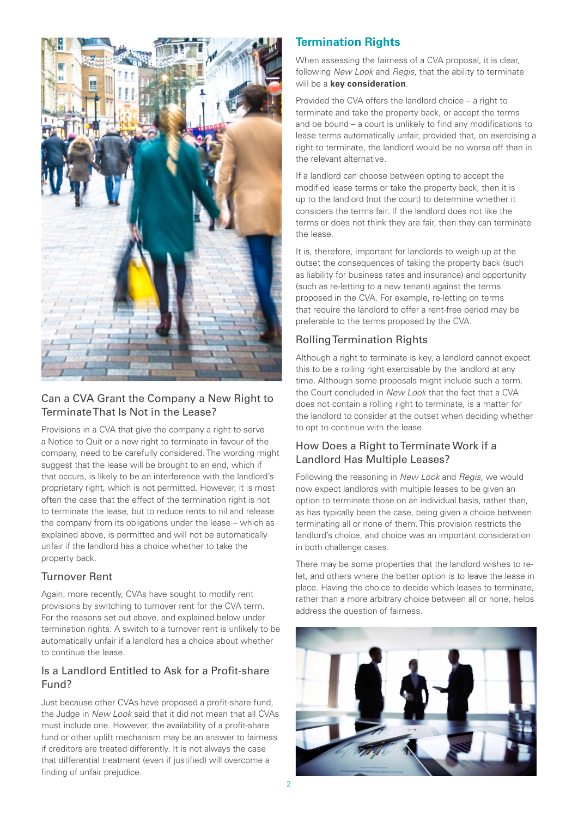

# Can a CVA Grant the Company a New Right to Terminate That Is Not in the Lease?

Provisions in a CVA that give the company a right to serve a Notice to Quit or a new right to terminate in favour of the company, need to be carefully considered. The wording might suggest that the lease will be brought to an end, which if that occurs, is likely to be an interference with the landlord's proprietary right, which is not permitted. However, it is most often the case that the effect of the termination right is not to terminate the lease, but to reduce rents to nil and release the company from its obligations under the lease – which as explained above, is permitted and will not be automatically unfair if the landlord has a choice whether to take the property back.

#### Turnover Rent

Again, more recently, CVAs have sought to modify rent provisions by switching to turnover rent for the CVA term. For the reasons set out above, and explained below under termination rights. A switch to a turnover rent is unlikely to be automatically unfair if a landlord has a choice about whether to continue the lease.

# Is a Landlord Entitled to Ask for a Profit-share Fund?

Just because other CVAs have proposed a profit-share fund, the Judge in *New Look* said that it did not mean that all CVAs must include one. However, the availability of a profit-share fund or other uplift mechanism may be an answer to fairness if creditors are treated differently. It is not always the case that differential treatment (even if justified) will overcome a finding of unfair prejudice.

# **Termination Rights**

When assessing the fairness of a CVA proposal, it is clear, following *New Look* and *Regis,* that the ability to terminate will be a **key consideration***.*

Provided the CVA offers the landlord choice – a right to terminate and take the property back, or accept the terms and be bound – a court is unlikely to find any modifications to lease terms automatically unfair, provided that, on exercising a right to terminate, the landlord would be no worse off than in the relevant alternative.

If a landlord can choose between opting to accept the modified lease terms or take the property back, then it is up to the landlord (not the court) to determine whether it considers the terms fair. If the landlord does not like the terms or does not think they are fair, then they can terminate the lease.

It is, therefore, important for landlords to weigh up at the outset the consequences of taking the property back (such as liability for business rates and insurance) and opportunity (such as re-letting to a new tenant) against the terms proposed in the CVA. For example, re-letting on terms that require the landlord to offer a rent-free period may be preferable to the terms proposed by the CVA.

# Rolling Termination Rights

Although a right to terminate is key, a landlord cannot expect this to be a rolling right exercisable by the landlord at any time. Although some proposals might include such a term, the Court concluded in *New Look* that the fact that a CVA does not contain a rolling right to terminate, is a matter for the landlord to consider at the outset when deciding whether to opt to continue with the lease.

# How Does a Right to Terminate Work if a Landlord Has Multiple Leases?

Following the reasoning in *New Look* and *Regis,* we would now expect landlords with multiple leases to be given an option to terminate those on an individual basis, rather than, as has typically been the case, being given a choice between terminating all or none of them. This provision restricts the landlord's choice, and choice was an important consideration in both challenge cases.

There may be some properties that the landlord wishes to relet, and others where the better option is to leave the lease in place. Having the choice to decide which leases to terminate, rather than a more arbitrary choice between all or none, helps address the question of fairness.